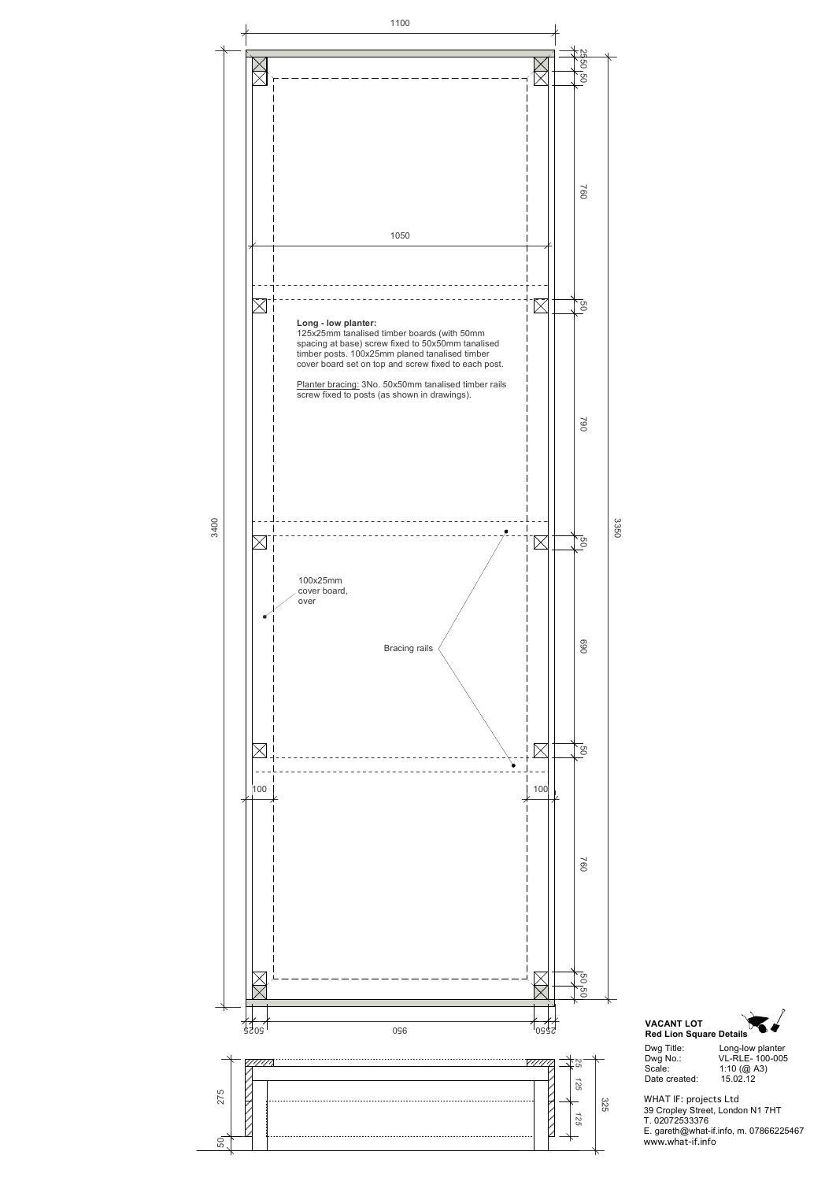



WHAT IF: projects Ltd 39 Cropley Street, London N1 7HT T. 02072533376 E. gareth@what-if.info, m. 07866225467 www.what-if.info

| Long-low planter |
|------------------|
| VL-RLE- 100-005  |
| 1:10 ( $@$ A3)   |
| 15.02.12         |
|                  |